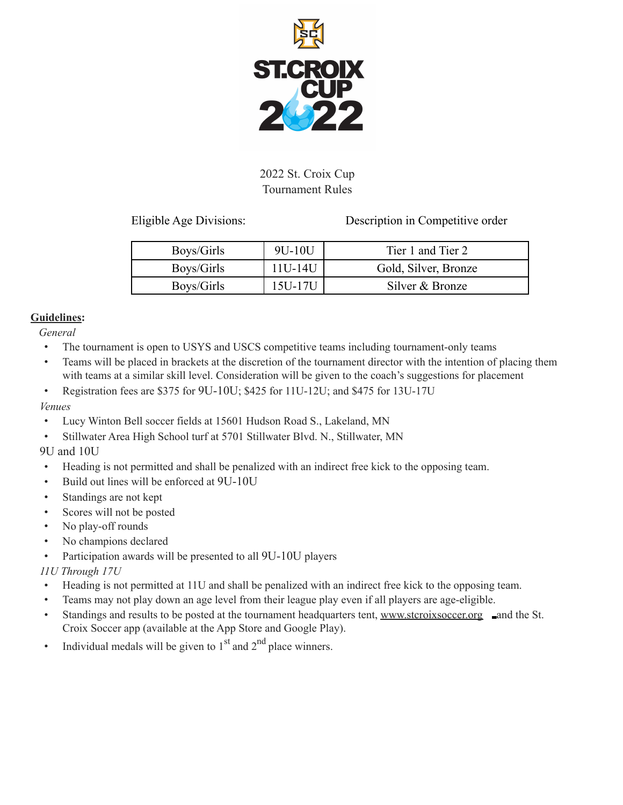

# 2022 St. Croix Cup Tournament Rules

Eligible Age Divisions: Description in Competitive order

| Boys/Girls | 9U-10U  | Tier 1 and Tier 2    |
|------------|---------|----------------------|
| Boys/Girls | 11U-14U | Gold, Silver, Bronze |
| Boys/Girls | 15U-17U | Silver & Bronze      |

## **Guidelines:**

*General*

- The tournament is open to USYS and USCS competitive teams including tournament-only teams
- Teams will be placed in brackets at the discretion of the tournament director with the intention of placing them with teams at a similar skill level. Consideration will be given to the coach's suggestions for placement
- Registration fees are \$375 for 9U-10U; \$425 for 11U-12U; and \$475 for 13U-17U

# *Venues*

- Lucy Winton Bell soccer fields at 15601 Hudson Road S., Lakeland, MN
- Stillwater Area High School turf at 5701 Stillwater Blvd. N., Stillwater, MN

# 9U and 10U

- Heading is not permitted and shall be penalized with an indirect free kick to the opposing team.
- Build out lines will be enforced at 9U-10U
- Standings are not kept
- Scores will not be posted
- No play-off rounds
- No champions declared
- Participation awards will be presented to all 9U-10U players

# *11U Through 17U*

- Heading is not permitted at 11U and shall be penalized with an indirect free kick to the opposing team.
- Teams may not play down an age level from their league play even if all players are age-eligible.
- Standings and results to be posted at the tournament headquarters tent, [www.stcroixsoccer.org](http://www.stcroixsoccer.org/) and the St. Croix Soccer app (available at the App Store and Google Play).
- Individual medals will be given to  $1<sup>st</sup>$  and  $2<sup>nd</sup>$  place winners.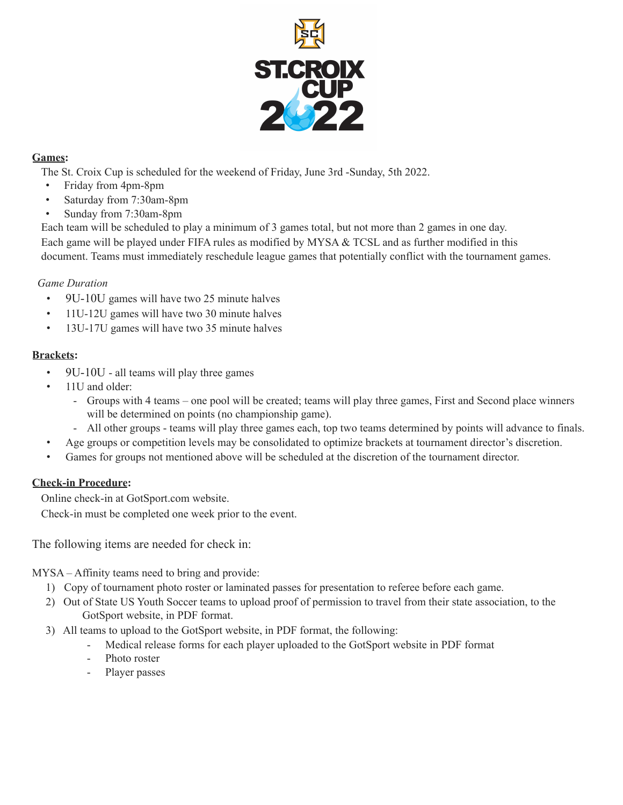

## **Games:**

The St. Croix Cup is scheduled for the weekend of Friday, June 3rd -Sunday, 5th 2022.

- Friday from 4pm-8pm
- Saturday from 7:30am-8pm
- Sunday from 7:30am-8pm

Each team will be scheduled to play a minimum of 3 games total, but not more than 2 games in one day. Each game will be played under FIFA rules as modified by MYSA & TCSL and as further modified in this document. Teams must immediately reschedule league games that potentially conflict with the tournament games.

## *Game Duration*

- 9U-10U games will have two 25 minute halves
- 11U-12U games will have two 30 minute halves
- 13U-17U games will have two 35 minute halves

## **Brackets:**

- 9U-10U all teams will play three games
- 11U and older:
	- Groups with 4 teams one pool will be created; teams will play three games, First and Second place winners will be determined on points (no championship game).
	- All other groups teams will play three games each, top two teams determined by points will advance to finals.
- Age groups or competition levels may be consolidated to optimize brackets at tournament director's discretion.
- Games for groups not mentioned above will be scheduled at the discretion of the tournament director.

# **Check-in Procedure:**

Online check-in at GotSport.com website.

Check-in must be completed one week prior to the event.

The following items are needed for check in:

MYSA – Affinity teams need to bring and provide:

- 1) Copy of tournament photo roster or laminated passes for presentation to referee before each game.
- 2) Out of State US Youth Soccer teams to upload proof of permission to travel from their state association, to the GotSport website, in PDF format.
- 3) All teams to upload to the GotSport website, in PDF format, the following:
	- Medical release forms for each player uploaded to the GotSport website in PDF format
	- Photo roster
	- Player passes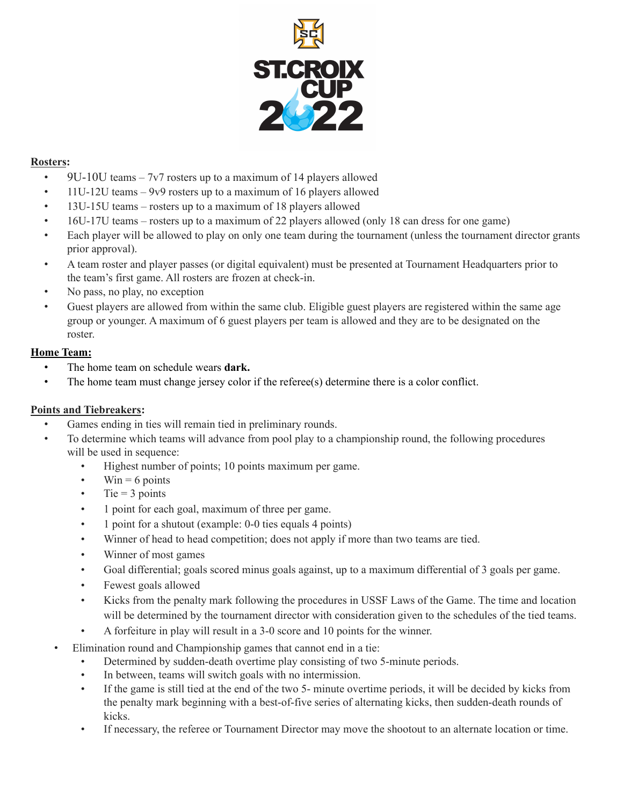

## **Rosters:**

- 9U-10U teams  $-7v7$  rosters up to a maximum of 14 players allowed
- 11U-12U teams 9v9 rosters up to a maximum of 16 players allowed
- 13U-15U teams rosters up to a maximum of 18 players allowed
- 16U-17U teams rosters up to a maximum of 22 players allowed (only 18 can dress for one game)
- Each player will be allowed to play on only one team during the tournament (unless the tournament director grants prior approval).
- A team roster and player passes (or digital equivalent) must be presented at Tournament Headquarters prior to the team's first game. All rosters are frozen at check-in.
- No pass, no play, no exception
- Guest players are allowed from within the same club. Eligible guest players are registered within the same age group or younger. A maximum of 6 guest players per team is allowed and they are to be designated on the roster.

## **Home Team:**

- The home team on schedule wears **dark.**
- The home team must change jersey color if the referee(s) determine there is a color conflict.

#### **Points and Tiebreakers:**

- Games ending in ties will remain tied in preliminary rounds.
- To determine which teams will advance from pool play to a championship round, the following procedures will be used in sequence:
	- Highest number of points; 10 points maximum per game.
	- Win  $= 6$  points
	- $\cdot$  Tie = 3 points
	- 1 point for each goal, maximum of three per game.
	- 1 point for a shutout (example: 0-0 ties equals 4 points)
	- Winner of head to head competition; does not apply if more than two teams are tied.
	- Winner of most games
	- Goal differential; goals scored minus goals against, up to a maximum differential of 3 goals per game.
	- Fewest goals allowed
	- Kicks from the penalty mark following the procedures in USSF Laws of the Game. The time and location will be determined by the tournament director with consideration given to the schedules of the tied teams.
	- A forfeiture in play will result in a 3-0 score and 10 points for the winner.
	- Elimination round and Championship games that cannot end in a tie:
		- Determined by sudden-death overtime play consisting of two 5-minute periods.
		- In between, teams will switch goals with no intermission.
		- If the game is still tied at the end of the two 5- minute overtime periods, it will be decided by kicks from the penalty mark beginning with a best-of-five series of alternating kicks, then sudden-death rounds of kicks.
		- If necessary, the referee or Tournament Director may move the shootout to an alternate location or time.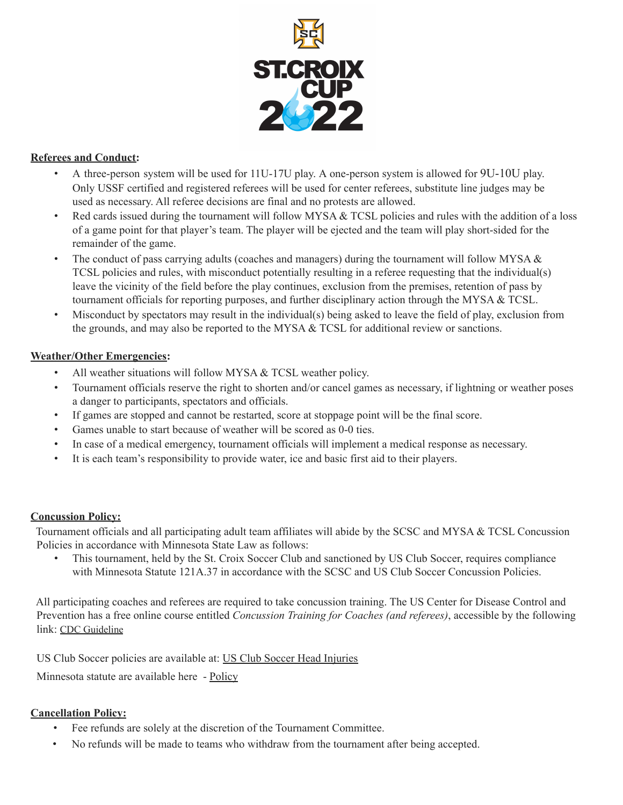

#### **Referees and Conduct:**

- A three-person system will be used for 11U-17U play. A one-person system is allowed for 9U-10U play. Only USSF certified and registered referees will be used for center referees, substitute line judges may be used as necessary. All referee decisions are final and no protests are allowed.
- Red cards issued during the tournament will follow MYSA  $&$  TCSL policies and rules with the addition of a loss of a game point for that player's team. The player will be ejected and the team will play short-sided for the remainder of the game.
- The conduct of pass carrying adults (coaches and managers) during the tournament will follow MYSA  $\&$ TCSL policies and rules, with misconduct potentially resulting in a referee requesting that the individual(s) leave the vicinity of the field before the play continues, exclusion from the premises, retention of pass by tournament officials for reporting purposes, and further disciplinary action through the MYSA & TCSL.
- Misconduct by spectators may result in the individual(s) being asked to leave the field of play, exclusion from the grounds, and may also be reported to the MYSA & TCSL for additional review or sanctions.

#### **Weather/Other Emergencies:**

- All weather situations will follow MYSA & TCSL weather policy.
- Tournament officials reserve the right to shorten and/or cancel games as necessary, if lightning or weather poses a danger to participants, spectators and officials.
- If games are stopped and cannot be restarted, score at stoppage point will be the final score.
- Games unable to start because of weather will be scored as 0-0 ties.
- In case of a medical emergency, tournament officials will implement a medical response as necessary.
- It is each team's responsibility to provide water, ice and basic first aid to their players.

#### **Concussion Policy:**

Tournament officials and all participating adult team affiliates will abide by the SCSC and MYSA & TCSL Concussion Policies in accordance with Minnesota State Law as follows:

• This tournament, held by the St. Croix Soccer Club and sanctioned by US Club Soccer, requires compliance with Minnesota Statute 121A.37 in accordance with the SCSC and US Club Soccer Concussion Policies.

All participating coaches and referees are required to take concussion training. The US Center for Disease Control and Prevention has a free online course entitled *Concussion Training for Coaches (and referees)*, accessible by the following link: CDC [Guideline](https://www.cdc.gov/headsup/youthsports/training/index.html)

US Club Soccer policies are available at: US Club Soccer Head [Injuries](https://www.usclubsoccer.org/head-injuries)

Minnesota statute are available here - [Policy](https://www.revisor.mn.gov/statutes/cite/121A.37#:~:text=37%20YOUTH%20SPORTS%20PROGRAMS.&text=(2)%20is%20evaluated%20by%20a,again%20participate%20in%20the%20activity.)

#### **Cancellation Policy:**

- Fee refunds are solely at the discretion of the Tournament Committee.
- No refunds will be made to teams who withdraw from the tournament after being accepted.